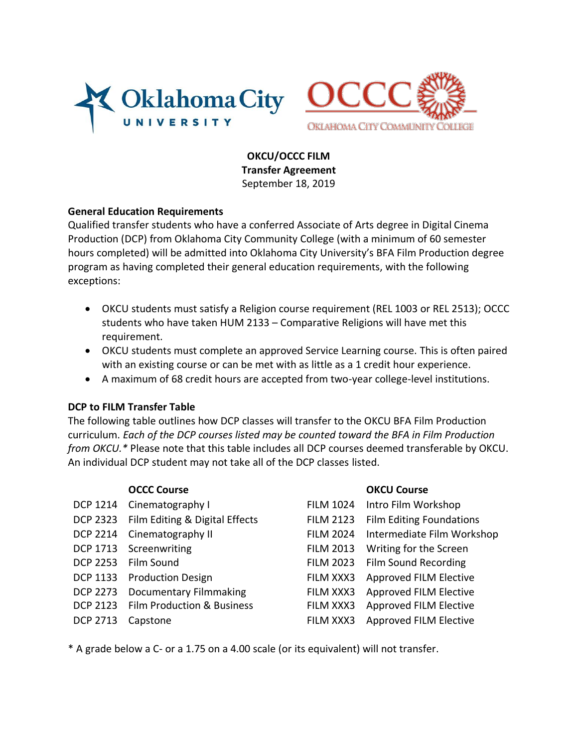



**OKCU/OCCC FILM Transfer Agreement** September 18, 2019

## **General Education Requirements**

Qualified transfer students who have a conferred Associate of Arts degree in Digital Cinema Production (DCP) from Oklahoma City Community College (with a minimum of 60 semester hours completed) will be admitted into Oklahoma City University's BFA Film Production degree program as having completed their general education requirements, with the following exceptions:

- OKCU students must satisfy a Religion course requirement (REL 1003 or REL 2513); OCCC students who have taken HUM 2133 – Comparative Religions will have met this requirement.
- OKCU students must complete an approved Service Learning course. This is often paired with an existing course or can be met with as little as a 1 credit hour experience.
- A maximum of 68 credit hours are accepted from two-year college-level institutions.

## **DCP to FILM Transfer Table**

The following table outlines how DCP classes will transfer to the OKCU BFA Film Production curriculum. *Each of the DCP courses listed may be counted toward the BFA in Film Production from OKCU.\** Please note that this table includes all DCP courses deemed transferable by OKCU. An individual DCP student may not take all of the DCP classes listed.

|                 | <b>OCCC Course</b>                    |   |
|-----------------|---------------------------------------|---|
| <b>DCP 1214</b> | Cinematography I                      | F |
| <b>DCP 2323</b> | Film Editing & Digital Effects        | F |
| <b>DCP 2214</b> | Cinematography II                     | F |
| DCP 1713        | Screenwriting                         | F |
| <b>DCP 2253</b> | Film Sound                            | F |
| <b>DCP 1133</b> | <b>Production Design</b>              | F |
| <b>DCP 2273</b> | Documentary Filmmaking                | F |
| <b>DCP 2123</b> | <b>Film Production &amp; Business</b> | F |
| <b>DCP 2713</b> | Capstone                              | F |
|                 |                                       |   |

## **OKCU Course**

ILM 1024 Intro Film Workshop ILM 2123 Film Editing Foundations ILM 2024 Intermediate Film Workshop ILM 2013 Writing for the Screen ILM 2023 Film Sound Recording ILM XXX3 Approved FILM Elective ILM XXX3 Approved FILM Elective ILM XXX3 Approved FILM Elective ILM XXX3 Approved FILM Elective

\* A grade below a C- or a 1.75 on a 4.00 scale (or its equivalent) will not transfer.